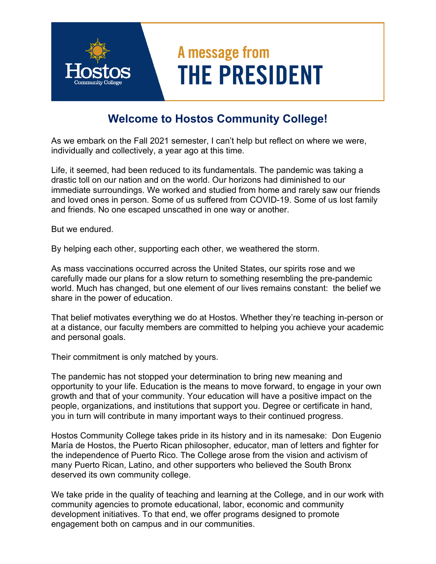## A message from **THE PRESIDENT**

## **Welcome to Hostos Community College!**

As we embark on the Fall 2021 semester, I can't help but reflect on where we were, individually and collectively, a year ago at this time.

Life, it seemed, had been reduced to its fundamentals. The pandemic was taking a drastic toll on our nation and on the world. Our horizons had diminished to our immediate surroundings. We worked and studied from home and rarely saw our friends and loved ones in person. Some of us suffered from COVID-19. Some of us lost family and friends. No one escaped unscathed in one way or another.

But we endured.

By helping each other, supporting each other, we weathered the storm.

As mass vaccinations occurred across the United States, our spirits rose and we carefully made our plans for a slow return to something resembling the pre-pandemic world. Much has changed, but one element of our lives remains constant: the belief we share in the power of education.

That belief motivates everything we do at Hostos. Whether they're teaching in-person or at a distance, our faculty members are committed to helping you achieve your academic and personal goals.

Their commitment is only matched by yours.

The pandemic has not stopped your determination to bring new meaning and opportunity to your life. Education is the means to move forward, to engage in your own growth and that of your community. Your education will have a positive impact on the people, organizations, and institutions that support you. Degree or certificate in hand, you in turn will contribute in many important ways to their continued progress.

Hostos Community College takes pride in its history and in its namesake: Don Eugenio María de Hostos, the Puerto Rican philosopher, educator, man of letters and fighter for the independence of Puerto Rico. The College arose from the vision and activism of many Puerto Rican, Latino, and other supporters who believed the South Bronx deserved its own community college.

We take pride in the quality of teaching and learning at the College, and in our work with community agencies to promote educational, labor, economic and community development initiatives. To that end, we offer programs designed to promote engagement both on campus and in our communities.